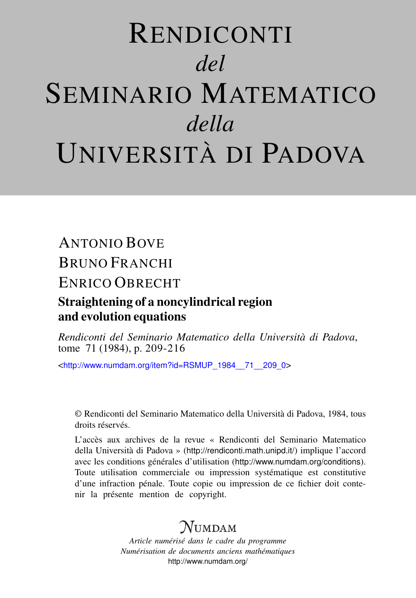# RENDICONTI *del* SEMINARIO MATEMATICO *della* UNIVERSITÀ DI PADOVA

## ANTONIO BOVE BRUNO FRANCHI ENRICO OBRECHT Straightening of a noncylindrical region and evolution equations

*Rendiconti del Seminario Matematico della Università di Padova*, tome 71 (1984), p. 209-216

<[http://www.numdam.org/item?id=RSMUP\\_1984\\_\\_71\\_\\_209\\_0](http://www.numdam.org/item?id=RSMUP_1984__71__209_0)>

© Rendiconti del Seminario Matematico della Università di Padova, 1984, tous droits réservés.

L'accès aux archives de la revue « Rendiconti del Seminario Matematico della Università di Padova » (<http://rendiconti.math.unipd.it/>) implique l'accord avec les conditions générales d'utilisation (<http://www.numdam.org/conditions>). Toute utilisation commerciale ou impression systématique est constitutive d'une infraction pénale. Toute copie ou impression de ce fichier doit contenir la présente mention de copyright.

## $N$ umdam

*Article numérisé dans le cadre du programme Numérisation de documents anciens mathématiques* <http://www.numdam.org/>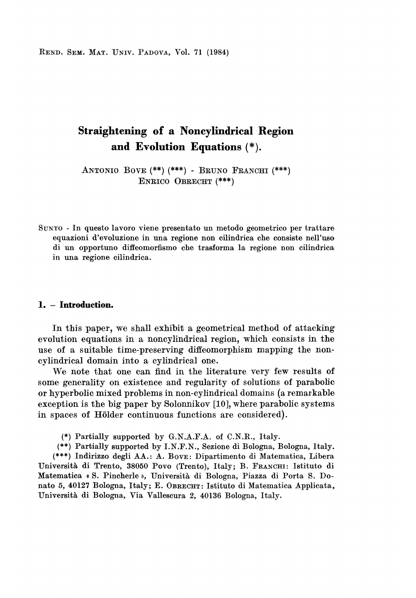REND. SEM. MAT. UNIV. PADOVA, Vol. 71 (1984)

### Straightening of a Noncylindrical Region and Evolution Equations (\*).

ANTONIO BOVE (\*\*) (\*\*\*) - BRUNO FRANCHI (\*\*\*) ENRICO OBRECHT (\*\*\*)

SUNTO - In questo lavoro viene presentato un metodo geometrico per trattare equazioni d'evoluzione in una regione non cilindrica che consiste nell'uso di un opportuno diffeomorfismo che trasforma la regione non cilindrica in una regione cilindrica.

#### 1. - Introduction.

In this paper, we shall exhibit a geometrical method of attacking evolution equations in a noncylindrical region, which consists in the use of a suitable time-preserving diffeomorphism mapping the noncylindrical domain into a cylindrical one.

We note that one can find in the literature very few results of some generality on existence and regularity of solutions of parabolic or hyperbolic mixed problems in non-cylindrical domains (a remarkable exception is the big paper by Solonnikov [10], where parabolic systems in spaces of Holder continuous functions are considered).

(\*) Partially supported by G.N.A.F.A. of C.N.R., Italy.

(\*\*) Partially supported by I.N.F.N., Sezione di Bologna, Bologna, Italy. (\*\*\*) Indirizzo degli AA.: A. BOVE: Dipartimento di Matematica, Libera Università di Trento, 38050 Povo (Trento), Italy; B. FRANCHI: Istituto di Matematica « S. Pincherle », Università di Bologna, Piazza di Porta S. Donato 5, 40127 Bologna, Italy; E. OBRECHT : Istituto di Matematica Applicata, Università di Bologna, Via Vallescura 2, 40136 Bologna, Italy.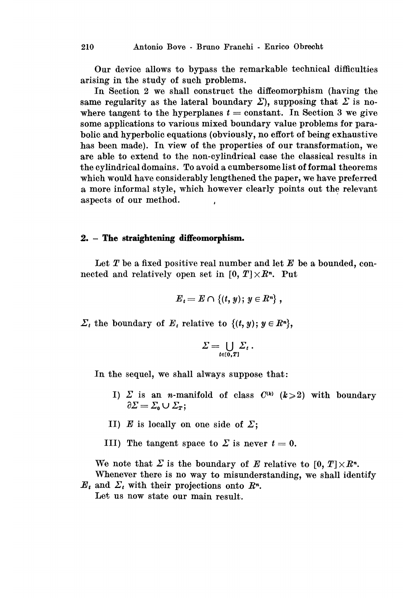Our device allows to bypass the remarkable technical difhculties arising in the study of such problems.

In Section 2 we shall construct the diffeomorphism (having the same regularity as the lateral boundary  $\Sigma$ ), supposing that  $\Sigma$  is nowhere tangent to the hyperplanes  $t = constant$ . In Section 3 we give some applications to various mixed boundary value problems for parabolic and hyperbolic equations (obviously, no effort of being exhaustive has been made). In view of the properties of our transformation, we are able to extend to the non-cylindrical case the classical results in the cylindrical domains. To avoid a cumbersome list of formal theorems which would have considerably lengthened the paper, we have preferred a more informal style, which however clearly points out the relevant aspects of our method.

#### 2. - The straightening diffeomorphism.

Let  $T$  be a fixed positive real number and let  $E$  be a bounded, connected and relatively open set in  $[0, T] \times \mathbb{R}^n$ . Put

$$
{E}_t = E \cap \{(t, y); y \in R^n\},\
$$

 $\Sigma_t$  the boundary of  $E_t$  relative to  $\{(t, y) ; y \in R^n\},\$ 

$$
\Sigma=\bigcup_{t\in[0,T]}\Sigma_t.
$$

In the sequel, we shall always suppose that:

- I)  $\Sigma$  is an *n*-manifold of class  $C^{(k)}$  ( $k \ge 2$ ) with boundary  $\partial \Sigma = \Sigma_0 \cup \Sigma_T$ ;
- II)  $E$  is locally on one side of  $\Sigma$ ;
- III) The tangent space to  $\Sigma$  is never  $t=0$ .

We note that  $\Sigma$  is the boundary of E relative to  $[0, T] \times \mathbb{R}^n$ . Whenever there is no way to misunderstanding, we shall identify

 $E_t$  and  $\sum_t$  with their projections onto  $\mathbb{R}^n$ . Let us now state our main result.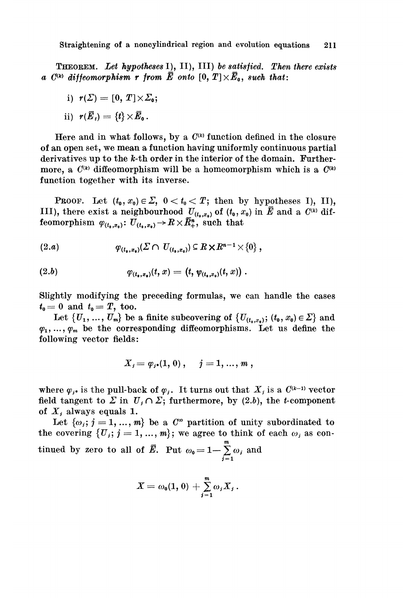THEOREM. Let hypotheses I), II), III) be satisfied. Then there exists a  $C^{(k)}$  diffeomorphism r from  $\overline{E}$  onto  $[0, T] \times \overline{E}_0$ , such that:

i) 
$$
r(\Sigma) = [0, T] \times \Sigma_0;
$$

ii) 
$$
r(\vec{E}_t) = \{t\} \times \vec{E}_0
$$
.

Here and in what follows, by a  $C^{(k)}$  function defined in the closure of an open set, we mean a function having uniformly continuous partial derivatives up to the  $k$ -th order in the interior of the domain. Furthermore, a  $C^{(k)}$  diffeomorphism will be a homeomorphism which is a  $C^{(k)}$ function together with its inverse.

**PROOF.** Let  $(t_0, x_0) \in \Sigma$ ,  $0 < t_0 < T$ ; then by hypotheses I), II), III), there exist a neighbourhood  $U_{(t_0,x_0)}$  of  $(t_0, x_0)$  in  $\overline{E}$  and a  $C^{(k)}$  diffeomorphism  $\varphi_{(t_0,x_0)}: U_{(t_0,x_0)} \to R \times \overline{R}^n_+$ , such that

$$
(2.a) \t\t \varphi_{(t_\bullet,x_\bullet)}(\Sigma \cap U_{(t_\bullet,x_\bullet)}) \subseteq R \times R^{n-1} \times \{0\} ,
$$

(2.b) 
$$
\varphi_{(t_{\bullet},x_{\bullet})}(t,x) = (t, \psi_{(t_{\bullet},x_{\bullet})}(t,x))
$$

Slightly modifying the preceding formulas, we can handle the cases  $t_0 = 0$  and  $t_0 = T$ , too.

Let  $\{U_1, ..., U_m\}$  be a finite subcovering of  $\{U_{(t_0,x_0)}; (t_0, x_0) \in \Sigma\}$  and  $\varphi_1, \ldots, \varphi_m$  be the corresponding diffeomorphisms. Let us define the following vector fields:

$$
X_i=\varphi_{i^*}(1,\,0)\ ,\hspace{0.4cm}j=1,\,...\,,\,m\ ,
$$

where  $\varphi_{j^*}$  is the pull-back of  $\varphi_j$ . It turns out that  $X_j$  is a  $C^{(k-1)}$  vector field tangent to  $\Sigma$  in  $U_j \cap \Sigma$ ; furthermore, by (2.b), the t-component of  $X_i$  always equals 1.

Let  $\{\omega_i; j = 1, ..., m\}$  be a  $C^{\infty}$  partition of unity subordinated to the covering  $\{U_i; j = 1, ..., m\}$ ; we agree to think of each  $\omega_i$  as continued by zero to all of  $\overline{E}$ . Put  $\omega_0 = 1 - \sum_{i=1}^m \omega_i$  and

$$
X=\omega_0(1, 0)+\sum_{j=1}^m\omega_jX_j.
$$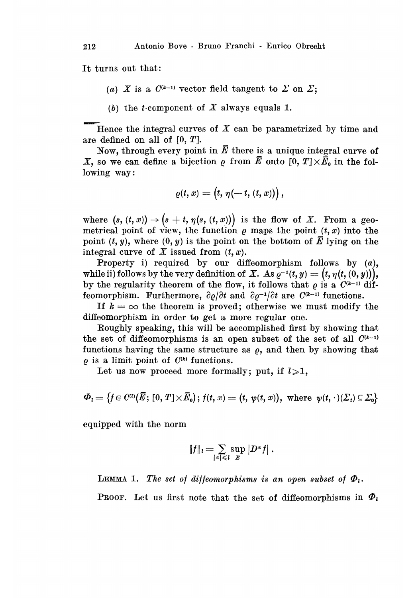It turns out that:

- (a) X is a  $C^{(k-1)}$  vector field tangent to  $\Sigma$  on  $\Sigma$ .
- (b) the t-component of  $X$  always equals 1.

Hence the integral curves of  $X$  can be parametrized by time and are defined on all of  $[0, T]$ .

Now, through every point in  $\bar{E}$  there is a unique integral curve of X, so we can define a bijection  $\rho$  from  $\bar{E}$  onto  $[0, T] \times \bar{E}_0$  in the following way:

$$
\varrho(t,x)=\big(t,\,\eta(-\,t,\,(t,\,x))\big)\,,
$$

where  $(s, (t, x)) \rightarrow (s+t, \eta(s, (t, x)))$  is the flow of X. From a geometrical point of view, the function  $\rho$  maps the point  $(t, x)$  into the point  $(t, y)$ , where  $(0, y)$  is the point on the bottom of  $\overline{E}$  lying on the integral curve of X issued from  $(t, x)$ .

Property i) required by our diffeomorphism follows by (a), while ii) follows by the very definition of X. As  $\varrho^{-1}(t, y) = (t, \eta(t, (0, y))),$ by the regularity theorem of the flow, it follows that  $\rho$  is a  $C^{(k-1)}$  diffeomorphism. Furthermore,  $\partial \varrho / \partial t$  and  $\partial \varrho^{-1} / \partial t$  are  $C^{(k-1)}$  functions.

If  $k = \infty$  the theorem is proved; otherwise we must modify the diffeomorphism in order to get a more regular one.

Roughly speaking, this will be accomplished first by showing that the set of diffeomorphisms is an open subset of the set of all  $C^{(k-1)}$ functions having the same structure as  $\rho$ , and then by showing that  $\rho$  is a limit point of  $C^{(k)}$  functions.

Let us now proceed more formally; put, if  $l \geqslant 1$ ,

$$
\varPhi_t = \big\{ \!f \! \in C^{(t)}\!\big(\bar{E};\,[0,T]\!\times\!\bar{E}_\mathtt{o} \big) ;\, \!f(t,x) = \big(t,\,\psi(t,x)\big), \,\,\text{where}\ \, \psi(t,\cdot)\allowbreak(\varSigma_t)\allowbreak\subseteq\varSigma_\mathtt{o} \!\big\}
$$

equipped with the norm

$$
||f||_l=\sum_{|\alpha|\leq l}\sup_{E}|D^{\alpha}f|.
$$

LEMMA 1. The set of diffeomorphisms is an open subset of  $\Phi_i$ .

**PROOF.** Let us first note that the set of diffeomorphisms in  $\Phi_i$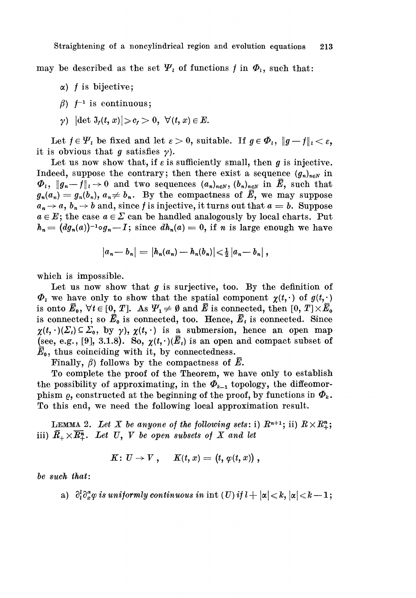Straightening of a noncylindrical region and evolution equations 213

may be described as the set  $\Psi_i$  of functions f in  $\Phi_i$ , such that:

- $\alpha$ ) *f* is bijective:
- $\beta$ )  $f^{-1}$  is continuous;
- $\gamma$ )  $|\det \mathfrak{I}_f(t,x)| \geqslant c_f > 0, \ \forall (t,x) \in E.$

Let  $f \in \Psi_i$  be fixed and let  $\varepsilon > 0$ , suitable. If  $g \in \Phi_i$ ,  $\|g - f\|_1 < \varepsilon$ , it is obvious that g satisfies  $\gamma$ ).

Let us now show that, if  $\varepsilon$  is sufficiently small, then g is injective. Indeed, suppose the contrary; then there exist a sequence  $(g_n)_{n\in\mathbb{N}}$  in  $\Phi_i$ ,  $||g_n-f||_1 \to 0$  and two sequences  $(a_n)_{n\in\mathbb{N}}$ ,  $(b_n)_{n\in\mathbb{N}}$  in  $\overline{E}$ , such that  $g_n(a_n) = g_n(b_n), a_n \neq b_n$ . By the compactness of  $\overline{E}$ , we may suppose  $a_n \rightarrow a$ ,  $b_n \rightarrow b$  and, since f is injective, it turns out that  $a = b$ . Suppose  $a \in E$ ; the case  $a \in \Sigma$  can be handled analogously by local charts. Put  $h_n = (dg_n(a))^{-1} \circ g_n - I$ ; since  $dh_n(a) = 0$ , if n is large enough we have

$$
|a_n-b_n| = |h_n(a_n)-h_n(b_n)| \leq \frac{1}{2} |a_n-b_n|,
$$

which is impossible.

Let us now show that  $g$  is surjective, too. By the definition of  $\Phi_i$  we have only to show that the spatial component  $\chi(t, \cdot)$  of  $g(t, \cdot)$ is onto  $\bar{E}_0$ ,  $\forall t \in [0, T]$ . As  $\Psi_1 \neq \emptyset$  and  $\bar{E}$  is connected, then  $[0, T] \times \bar{E}_0$ is connected; so  $\bar{E}_0$  is connected, too. Hence,  $\bar{E}_t$  is connected. Since  $\chi(t, \cdot)(\Sigma_t) \subseteq \Sigma_0$ , by  $\gamma$ ),  $\chi(t, \cdot)$  is a submersion, hence an open map (see, e.g., [9], 3.1.8). So,  $\chi(t, \cdot)(\overline{E}_t)$  is an open and compact subset of  $\bar{E}_{0}$ , thus coinciding with it, by connectedness.

Finally,  $\beta$ ) follows by the compactness of  $\bar{E}$ .

To complete the proof of the Theorem, we have only to establish the possibility of approximating, in the  $\Phi_{k-1}$  topology, the diffeomorphism  $\rho$ , constructed at the beginning of the proof, by functions in  $\Phi_k$ . To this end, we need the following local approximation result.

**LEMMA** 2. Let X be anyone of the following sets: i)  $R^{n+1}$ ; ii)  $R \times R^n_+$ ; iii)  $\overline{R}_+ \times \overline{R}_+^n$ . Let U, V be open subsets of X and let

$$
K\colon U\to V\ ,\hspace{0.5cm} K(t,x)=\left(t,\,\varphi(t,\,x)\right)\,,
$$

be such that:

a)  $\partial_t^l \partial_x^{\alpha} \varphi$  is uniformly continuous in int  $(U)$  if  $l + |\alpha| \leq k$ ,  $|\alpha| \leq k - 1$ ;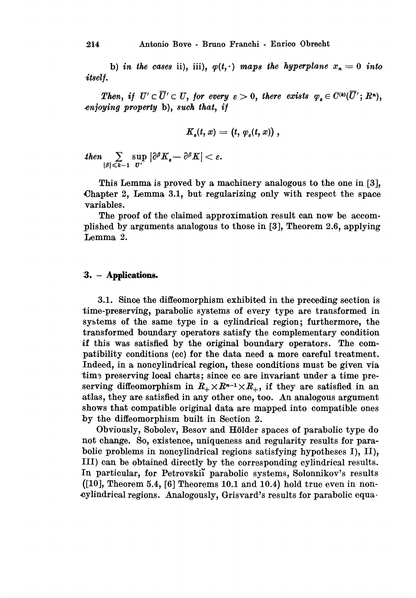b) in the cases ii), iii),  $\varphi(t,.)$  maps the hyperplane  $x_n = 0$  into .itself.

Then, if  $U' \subset \overline{U}' \subset U$ , for every  $\varepsilon > 0$ , there exists  $\varphi_* \in C^{(k)}(\overline{U}'; R^n)$ . 4njoying property b), such that, if

$$
K_{s}(t,x)=(t,\,\varphi_{s}(t,x))\ ,
$$

 $\text{then} \sum_{|\beta| \leqslant k-1} \sup_{\sigma'} |\partial^{\beta} K_{\epsilon} - \partial^{\beta} K| < \epsilon.$ 

This Lemma is proved by a machinery analogous to the one in [3], Chapter 2, Lemma 3.1, but regularizing only with respect the space variables.

The proof of the claimed approximation result can now be accomplished by arguments analogous to those in [3], Theorem 2.6, applying Lemma 2.

#### :3. - Applications.

3.1. Since the diffeomorphism exhibited in the preceding section is time-preserving, parabolic systems of every type are transformed in systems of the same type in a cylindrical region; furthermore, the transformed boundary operators satisfy the complementary condition if this was satisfied by the original boundary operators. The compatibility conditions (cc) for the data need a more careful treatment. Indeed, in a noncylindrical region, these conditions must be given via time preserving local charts; since cc are invariant under a time preserving diffeomorphism in  $R_+ \times R^{n-1} \times R_+$ , if they are satisfied in an atlas, they are satisfied in any other one, too. An analogous argument shows that compatible original data are mapped into compatible ones by the diffeomorphism built in Section 2.

Obviously, Sobolev, Besov and Holder spaces of parabolic type do not change. So, existence, uniqueness and regularity results for parabolic problems in noncylindrical regions satisfying hypotheses I), II), III) can be obtained directly by the corresponding cylindrical results. In particular, for Petrovskii parabolic systems, Solonnikov's results  $([10],$  Theorem 5.4, [6] Theorems 10.1 and 10.4) hold true even in noncylindrical regions. Analogously, Grisvard's results for parabolic equa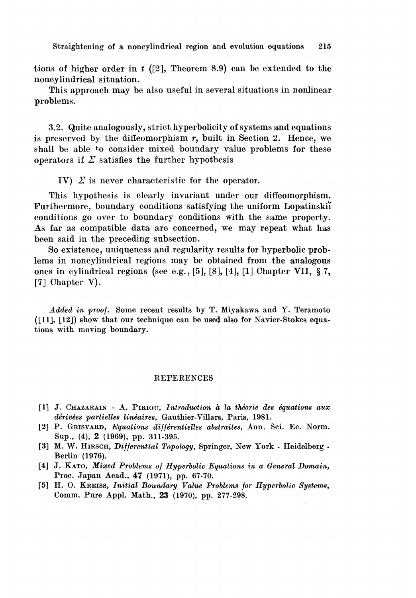Straightening of a noncylindrical region and evolution equations 215

tions of higher order in t  $(2)$ , Theorem 8.9) can be extended to the noncylindrical situation.

This approach may be also useful in several situations in nonlinear problems.

3.2. Quite analogously, strict hyperbolicity of systems and equations is preserved by the diffeomorphism  $r$ , built in Section 2. Hence, we shall be able to consider mixed boundary value problems for these operators if  $\Sigma$  satisfies the further hypothesis

IV)  $\Sigma$  is never characteristic for the operator.

This hypothesis is clearly invariant under our diffeomorphism. Furthermore, boundary conditions satisfying the uniform Lopatinskii conditions go over to boundary conditions with the same property. As far as compatible data are concerned, we may repeat what has been said in the preceding subsection.

So existence, uniqueness and regularity results for hyperbolic problems in noncylindrical regions may be obtained from the analogous ones in cylindrical regions (see e.g., [5], [8], [4], [1] Chapter VII, § 7, [7] Chapter V).

Added in proof. Some recent results by T. Miyakawa and Y. Teramoto  $(11]$ ,  $[12]$ ) show that our technique can be used also for Navier-Stokes equations with moving boundary.

#### REFERENCES

- [1] J. CHAZARAIN A. PIRIOU, Introduction à la théorie des équations aux dérivées partielles linéaires, Gauthier-Villars, Paris, 1981.
- [2] P. GRISVARD, Equations différentielles abstraites, Ann. Sci. Ec. Norm. Sup., (4), 2 (1969), pp. 311-395.
- [3] M. W. HIRSCH, Differential Topology, Springer, New York Heidelberg Berlin (1976).
- [4] J. KATO, Mixed Problems of Hyperbolic Equations in a General Domain, Proc. Japan Acad., 47 (1971), pp. 67-70.
- [5] H. O. KREISS, Initial Boundary Value Problems for Hyperbolic Systems, Comm. Pure Appl. Math., 23 (1970), pp. 277-298.